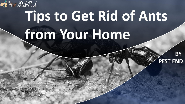# **Tips to Get Rid of Ants from Your Home**

**REAL Pest End** 

**BY PEST END**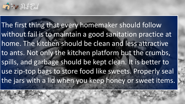

The first thing that every homemaker should follow without fail is to maintain a good sanitation practice at home. The kitchen should be clean and less attractive to ants. Not only the kitchen platform but the crumbs, spills, and garbage should be kept clean. It is better to use zip-top bags to store food like sweets. Properly seal the jars with a lid when you keep honey or sweet items.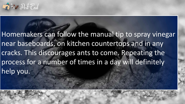

Homemakers can follow the manual tip to spray vinegar near baseboards, on kitchen countertops and in any cracks. This discourages ants to come. Repeating the process for a number of times in a day will definitely help you.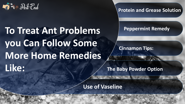

# **To Treat Ant Problems you Can Follow Some More Home Remedies Like:**

**Protein and Grease Solution**

#### **Peppermint Remedy**

### **Cinnamon Tips:**

**The Baby Powder Option**

**Use of Vaseline**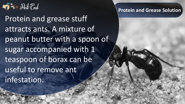

Protein and grease stuff attracts ants. A mixture of peanut butter with a spoon of sugar accompanied with 1 teaspoon of borax can be useful to remove ant infestation.

#### **Protein and Grease Solution**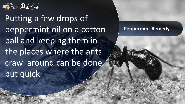

Putting a few drops of peppermint oil on a cotton ball and keeping them in the places where the ants crawl around can be done but quick.

#### **Peppermint Remedy**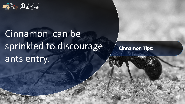

# Cinnamon can be sprinkled to discourage ants entry.

**Cinnamon Tips:**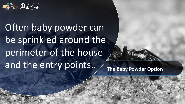

Often baby powder can be sprinkled around the perimeter of the house and the entry points.. The Baby Powder Option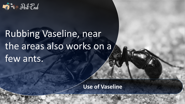

## Rubbing Vaseline, near the areas also works on a few ants.

**Use of Vaseline**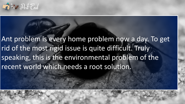

## Ant problem is every home problem now a day. To get rid of the most rigid issue is quite difficult. Truly speaking, this is the environmental problem of the recent world which needs a root solution.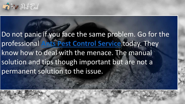

## Do not panic if you face the same problem. Go for the professional **[Ants Pest Control Service](http://pestend.com.au/pest-control-melbourne)** today. They know how to deal with the menace. The manual solution and tips though important but are not a permanent solution to the issue.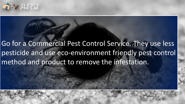

## Go for a Commercial Pest Control Service. They use less pesticide and use eco-environment friendly pest control method and product to remove the infestation.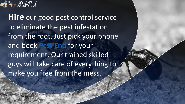

**Hire** our good pest control service to eliminate the pest infestation from the root. Just pick your phone and book **[Pest End](http://pestend.com.au/)** for your requirement. Our trained skilled guys will take care of everything to make you free from the mess.